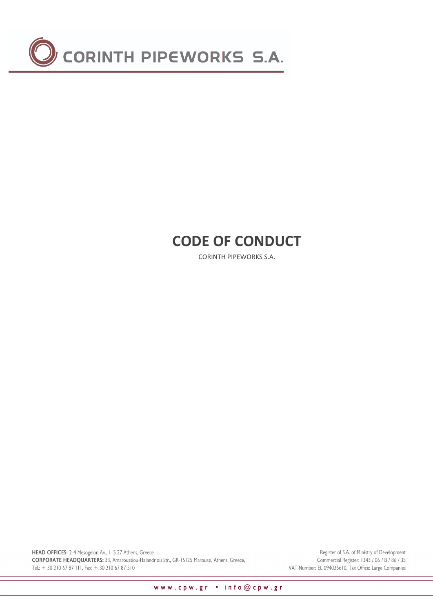

# **CODE OF CONDUCT**

CORINTH PIPEWORKS S.A.

HEAD OFFICES: 2-4 Mesogeion Av., 115 27 Athens, Greece CORPORATE HEADQUARTERS: 33, Amaroussiou-Halandriou Str., GR-15125 Maroussi, Athens, Greece, Tel.: + 30 210 67 87 111, Fax: + 30 210 67 87 510

Register of S.A. of Ministry of Development Commercial Register: 1343 / 06 / B / 86 / 35 VAT Number: EL 094025610, Tax Office: Large Companies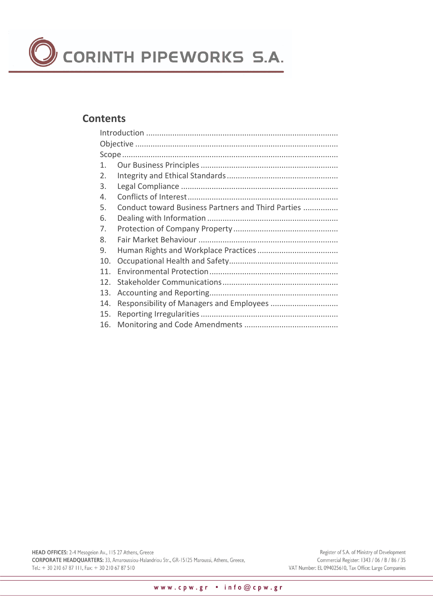# **Contents**

| 1.  |                                                    |
|-----|----------------------------------------------------|
| 2.  |                                                    |
| 3.  |                                                    |
| 4.  |                                                    |
| 5.  | Conduct toward Business Partners and Third Parties |
| 6.  |                                                    |
| 7.  |                                                    |
| 8.  |                                                    |
| 9.  |                                                    |
| 10. |                                                    |
| 11. |                                                    |
| 12. |                                                    |
| 13. |                                                    |
| 14. |                                                    |
| 15. |                                                    |
| 16. |                                                    |
|     |                                                    |

HEAD OFFICES: 2-4 Mesogeion Av., 115 27 Athens, Greece CORPORATE HEADQUARTERS: 33, Amaroussiou-Halandriou Str., GR-15125 Maroussi, Athens, Greece, Tel.: + 30 210 67 87 111, Fax: + 30 210 67 87 510

Register of S.A. of Ministry of Development Commercial Register: 1343 / 06 / B / 86 / 35 VAT Number: EL 094025610, Tax Office: Large Companies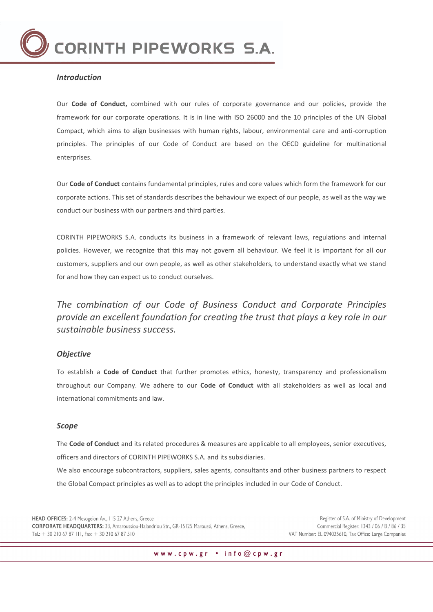### *Introduction*

Our **Code of Conduct,** combined with our rules of corporate governance and our policies, provide the framework for our corporate operations. It is in line with ISO 26000 and the 10 principles of the UN Global Compact, which aims to align businesses with human rights, labour, environmental care and anti-corruption principles. The principles of our Code of Conduct are based on the OECD guideline for multinational enterprises.

Our **Code of Conduct** contains fundamental principles, rules and core values which form the framework for our corporate actions. This set of standards describes the behaviour we expect of our people, as well as the way we conduct our business with our partners and third parties.

CORINTH PIPEWORKS S.A. conducts its business in a framework of relevant laws, regulations and internal policies. However, we recognize that this may not govern all behaviour. We feel it is important for all our customers, suppliers and our own people, as well as other stakeholders, to understand exactly what we stand for and how they can expect us to conduct ourselves.

*The combination of our Code of Business Conduct and Corporate Principles provide an excellent foundation for creating the trust that plays a key role in our sustainable business success.*

### *Objective*

To establish a **Code of Conduct** that further promotes ethics, honesty, transparency and professionalism throughout our Company. We adhere to our **Code of Conduct** with all stakeholders as well as local and international commitments and law.

#### *Scope*

The **Code of Conduct** and its related procedures & measures are applicable to all employees, senior executives, officers and directors of CORINTH PIPEWORKS S.A. and its subsidiaries.

We also encourage subcontractors, suppliers, sales agents, consultants and other business partners to respect the Global Compact principles as well as to adopt the principles included in our Code of Conduct.

HEAD OFFICES: 2-4 Mesogeion Av., 115 27 Athens, Greece CORPORATE HEADQUARTERS: 33, Amaroussiou-Halandriou Str., GR-15125 Maroussi, Athens, Greece, Tel.: + 30 210 67 87 111, Fax: + 30 210 67 87 510

Register of S.A. of Ministry of Development Commercial Register: 1343 / 06 / B / 86 / 35 VAT Number: EL 094025610, Tax Office: Large Companies

3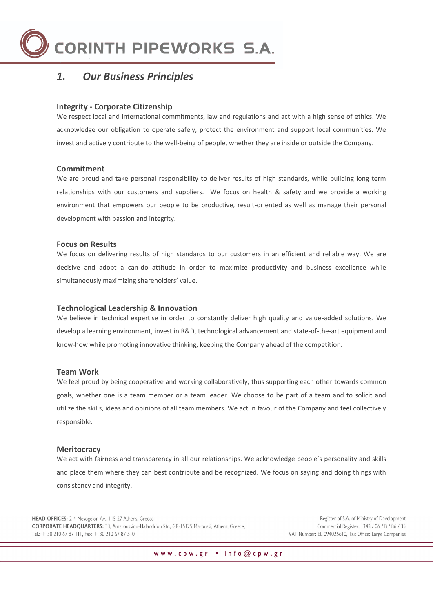### *1. Our Business Principles*

#### **Integrity - Corporate Citizenship**

We respect local and international commitments, law and regulations and act with a high sense of ethics. We acknowledge our obligation to operate safely, protect the environment and support local communities. We invest and actively contribute to the well-being of people, whether they are inside or outside the Company.

#### **Commitment**

We are proud and take personal responsibility to deliver results of high standards, while building long term relationships with our customers and suppliers. We focus on health & safety and we provide a working environment that empowers our people to be productive, result-oriented as well as manage their personal development with passion and integrity.

#### **Focus on Results**

We focus on delivering results of high standards to our customers in an efficient and reliable way. We are decisive and adopt a can-do attitude in order to maximize productivity and business excellence while simultaneously maximizing shareholders' value.

#### **Technological Leadership & Innovation**

We believe in technical expertise in order to constantly deliver high quality and value-added solutions. We develop a learning environment, invest in R&D, technological advancement and state-of-the-art equipment and know-how while promoting innovative thinking, keeping the Company ahead of the competition.

#### **Team Work**

We feel proud by being cooperative and working collaboratively, thus supporting each other towards common goals, whether one is a team member or a team leader. We choose to be part of a team and to solicit and utilize the skills, ideas and opinions of all team members. We act in favour of the Company and feel collectively responsible.

#### **Meritocracy**

We act with fairness and transparency in all our relationships. We acknowledge people's personality and skills and place them where they can best contribute and be recognized. We focus on saying and doing things with consistency and integrity.

HEAD OFFICES: 2-4 Mesogeion Av., 115 27 Athens, Greece CORPORATE HEADQUARTERS: 33, Amaroussiou-Halandriou Str., GR-15125 Maroussi, Athens, Greece, Tel.:  $+$  30 210 67 87 111, Fax:  $+$  30 210 67 87 510

Register of S.A. of Ministry of Development Commercial Register: 1343 / 06 / B / 86 / 35 VAT Number: EL 094025610, Tax Office: Large Companies

4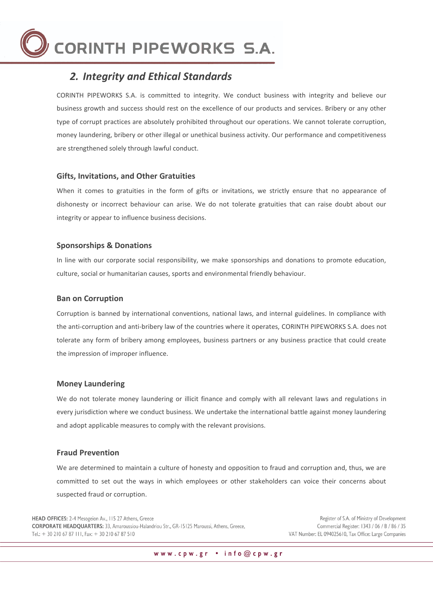# *2. Integrity and Ethical Standards*

CORINTH PIPEWORKS S.A. is committed to integrity. We conduct business with integrity and believe our business growth and success should rest on the excellence of our products and services. Bribery or any other type of corrupt practices are absolutely prohibited throughout our operations. We cannot tolerate corruption, money laundering, bribery or other illegal or unethical business activity. Our performance and competitiveness are strengthened solely through lawful conduct.

### **Gifts, Invitations, and Other Gratuities**

When it comes to gratuities in the form of gifts or invitations, we strictly ensure that no appearance of dishonesty or incorrect behaviour can arise. We do not tolerate gratuities that can raise doubt about our integrity or appear to influence business decisions.

### **Sponsorships & Donations**

In line with our corporate social responsibility, we make sponsorships and donations to promote education, culture, social or humanitarian causes, sports and environmental friendly behaviour.

#### **Ban on Corruption**

Corruption is banned by international conventions, national laws, and internal guidelines. In compliance with the anti-corruption and anti-bribery law of the countries where it operates, CORINTH PIPEWORKS S.A. does not tolerate any form of bribery among employees, business partners or any business practice that could create the impression of improper influence.

### **Money Laundering**

We do not tolerate money laundering or illicit finance and comply with all relevant laws and regulations in every jurisdiction where we conduct business. We undertake the international battle against money laundering and adopt applicable measures to comply with the relevant provisions.

#### **Fraud Prevention**

We are determined to maintain a culture of honesty and opposition to fraud and corruption and, thus, we are committed to set out the ways in which employees or other stakeholders can voice their concerns about suspected fraud or corruption.

HEAD OFFICES: 2-4 Mesogeion Av., 115 27 Athens, Greece CORPORATE HEADQUARTERS: 33, Amaroussiou-Halandriou Str., GR-15125 Maroussi, Athens, Greece, Tel.:  $+$  30 210 67 87 111, Fax:  $+$  30 210 67 87 510

Register of S.A. of Ministry of Development Commercial Register: 1343 / 06 / B / 86 / 35 VAT Number: EL 094025610, Tax Office: Large Companies

5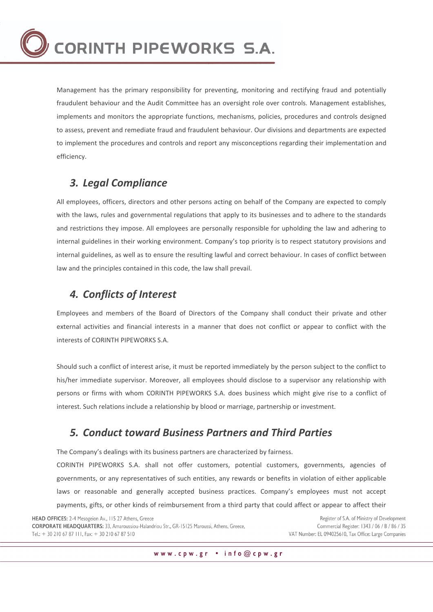Management has the primary responsibility for preventing, monitoring and rectifying fraud and potentially fraudulent behaviour and the Audit Committee has an oversight role over controls. Management establishes, implements and monitors the appropriate functions, mechanisms, policies, procedures and controls designed to assess, prevent and remediate fraud and fraudulent behaviour. Our divisions and departments are expected to implement the procedures and controls and report any misconceptions regarding their implementation and efficiency.

# *3. Legal Compliance*

All employees, officers, directors and other persons acting on behalf of the Company are expected to comply with the laws, rules and governmental regulations that apply to its businesses and to adhere to the standards and restrictions they impose. All employees are personally responsible for upholding the law and adhering to internal guidelines in their working environment. Company's top priority is to respect statutory provisions and internal guidelines, as well as to ensure the resulting lawful and correct behaviour. In cases of conflict between law and the principles contained in this code, the law shall prevail.

# *4. Conflicts of Interest*

Employees and members of the Board of Directors of the Company shall conduct their private and other external activities and financial interests in a manner that does not conflict or appear to conflict with the interests of CORINTH PIPEWORKS S.A.

Should such a conflict of interest arise, it must be reported immediately by the person subject to the conflict to his/her immediate supervisor. Moreover, all employees should disclose to a supervisor any relationship with persons or firms with whom CORINTH PIPEWORKS S.A. does business which might give rise to a conflict of interest. Such relations include a relationship by blood or marriage, partnership or investment.

# *5. Conduct toward Business Partners and Third Parties*

The Company's dealings with its business partners are characterized by fairness.

CORINTH PIPEWORKS S.A. shall not offer customers, potential customers, governments, agencies of governments, or any representatives of such entities, any rewards or benefits in violation of either applicable laws or reasonable and generally accepted business practices. Company's employees must not accept payments, gifts, or other kinds of reimbursement from a third party that could affect or appear to affect their

Register of S.A. of Ministry of Development Commercial Register: 1343 / 06 / B / 86 / 35 VAT Number: EL 094025610, Tax Office: Large Companies

6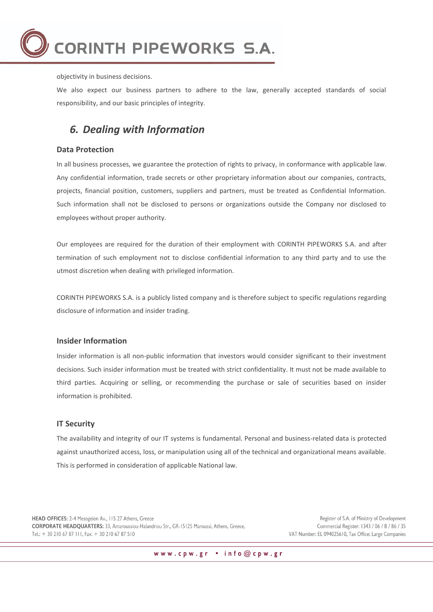

objectivity in business decisions.

We also expect our business partners to adhere to the law, generally accepted standards of social responsibility, and our basic principles of integrity.

# *6. Dealing with Information*

#### **Data Protection**

In all business processes, we guarantee the protection of rights to privacy, in conformance with applicable law. Any confidential information, trade secrets or other proprietary information about our companies, contracts, projects, financial position, customers, suppliers and partners, must be treated as Confidential Information. Such information shall not be disclosed to persons or organizations outside the Company nor disclosed to employees without proper authority.

Our employees are required for the duration of their employment with CORINTH PIPEWORKS S.A. and after termination of such employment not to disclose confidential information to any third party and to use the utmost discretion when dealing with privileged information.

CORINTH PIPEWORKS S.A. is a publicly listed company and is therefore subject to specific regulations regarding disclosure of information and insider trading.

#### **Insider Information**

Insider information is all non-public information that investors would consider significant to their investment decisions. Such insider information must be treated with strict confidentiality. It must not be made available to third parties. Acquiring or selling, or recommending the purchase or sale of securities based on insider information is prohibited.

#### **IT Security**

The availability and integrity of our IT systems is fundamental. Personal and business-related data is protected against unauthorized access, loss, or manipulation using all of the technical and organizational means available. This is performed in consideration of applicable National law.

HEAD OFFICES: 2-4 Mesogeion Av., 115 27 Athens, Greece CORPORATE HEADQUARTERS: 33, Amaroussiou-Halandriou Str., GR-15125 Maroussi, Athens, Greece, Tel.:  $+$  30 210 67 87 111, Fax:  $+$  30 210 67 87 510

Register of S.A. of Ministry of Development Commercial Register: 1343 / 06 / B / 86 / 35 VAT Number: EL 094025610, Tax Office: Large Companies

7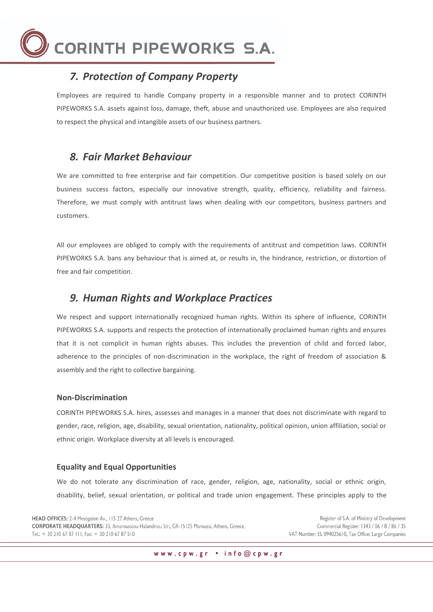

# *7. Protection of Company Property*

Employees are required to handle Company property in a responsible manner and to protect CORINTH PIPEWORKS S.A. assets against loss, damage, theft, abuse and unauthorized use. Employees are also required to respect the physical and intangible assets of our business partners.

# *8. Fair Market Behaviour*

We are committed to free enterprise and fair competition. Our competitive position is based solely on our business success factors, especially our innovative strength, quality, efficiency, reliability and fairness. Therefore, we must comply with antitrust laws when dealing with our competitors, business partners and customers.

All our employees are obliged to comply with the requirements of antitrust and competition laws. CORINTH PIPEWORKS S.A. bans any behaviour that is aimed at, or results in, the hindrance, restriction, or distortion of free and fair competition.

### *9. Human Rights and Workplace Practices*

We respect and support internationally recognized human rights. Within its sphere of influence, CORINTH PIPEWORKS S.A. supports and respects the protection of internationally proclaimed human rights and ensures that it is not complicit in human rights abuses. This includes the prevention of child and forced labor, adherence to the principles of non-discrimination in the workplace, the right of freedom of association & assembly and the right to collective bargaining.

### **Non-Discrimination**

CORINTH PIPEWORKS S.A. hires, assesses and manages in a manner that does not discriminate with regard to gender, race, religion, age, disability, sexual orientation, nationality, political opinion, union affiliation, social or ethnic origin. Workplace diversity at all levels is encouraged.

### **Equality and Equal Opportunities**

We do not tolerate any discrimination of race, gender, religion, age, nationality, social or ethnic origin, disability, belief, sexual orientation, or political and trade union engagement. These principles apply to the

HEAD OFFICES: 2-4 Mesogeion Av., 115 27 Athens, Greece CORPORATE HEADQUARTERS: 33, Amaroussiou-Halandriou Str., GR-15125 Maroussi, Athens, Greece, Tel.: + 30 210 67 87 111, Fax: + 30 210 67 87 510

Register of S.A. of Ministry of Development Commercial Register: 1343 / 06 / B / 86 / 35 VAT Number: EL 094025610, Tax Office: Large Companies

9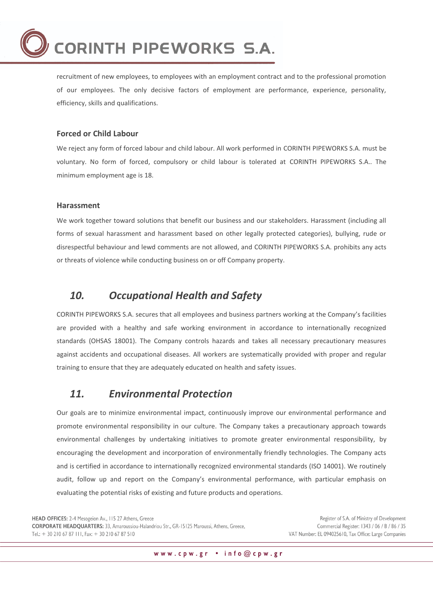

recruitment of new employees, to employees with an employment contract and to the professional promotion of our employees. The only decisive factors of employment are performance, experience, personality, efficiency, skills and qualifications.

### **Forced or Child Labour**

We reject any form of forced labour and child labour. All work performed in CORINTH PIPEWORKS S.A. must be voluntary. No form of forced, compulsory or child labour is tolerated at CORINTH PIPEWORKS S.A.. The minimum employment age is 18.

#### **Harassment**

We work together toward solutions that benefit our business and our stakeholders. Harassment (including all forms of sexual harassment and harassment based on other legally protected categories), bullying, rude or disrespectful behaviour and lewd comments are not allowed, and CORINTH PIPEWORKS S.A. prohibits any acts or threats of violence while conducting business on or off Company property.

### *10. Occupational Health and Safety*

CORINTH PIPEWORKS S.A. secures that all employees and business partners working at the Company's facilities are provided with a healthy and safe working environment in accordance to internationally recognized standards (OHSAS 18001). The Company controls hazards and takes all necessary precautionary measures against accidents and occupational diseases. All workers are systematically provided with proper and regular training to ensure that they are adequately educated on health and safety issues.

### *11. Environmental Protection*

Our goals are to minimize environmental impact, continuously improve our environmental performance and promote environmental responsibility in our culture. The Company takes a precautionary approach towards environmental challenges by undertaking initiatives to promote greater environmental responsibility, by encouraging the development and incorporation of environmentally friendly technologies. The Company acts and is certified in accordance to internationally recognized environmental standards (ISO 14001). We routinely audit, follow up and report on the Company's environmental performance, with particular emphasis on evaluating the potential risks of existing and future products and operations.

HEAD OFFICES: 2-4 Mesogeion Av., 115 27 Athens, Greece CORPORATE HEADQUARTERS: 33, Amaroussiou-Halandriou Str., GR-15125 Maroussi, Athens, Greece, Tel.: + 30 210 67 87 111, Fax: + 30 210 67 87 510

Register of S.A. of Ministry of Development Commercial Register: 1343 / 06 / B / 86 / 35 VAT Number: EL 094025610, Tax Office: Large Companies

9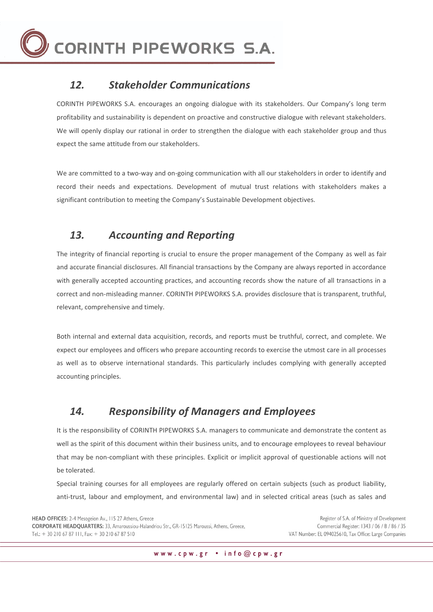

### *12. Stakeholder Communications*

CORINTH PIPEWORKS S.A. encourages an ongoing dialogue with its stakeholders. Our Company's long term profitability and sustainability is dependent on proactive and constructive dialogue with relevant stakeholders. We will openly display our rational in order to strengthen the dialogue with each stakeholder group and thus expect the same attitude from our stakeholders.

We are committed to a two-way and on-going communication with all our stakeholders in order to identify and record their needs and expectations. Development of mutual trust relations with stakeholders makes a significant contribution to meeting the Company's Sustainable Development objectives.

# *13. Accounting and Reporting*

The integrity of financial reporting is crucial to ensure the proper management of the Company as well as fair and accurate financial disclosures. All financial transactions by the Company are always reported in accordance with generally accepted accounting practices, and accounting records show the nature of all transactions in a correct and non-misleading manner. CORINTH PIPEWORKS S.A. provides disclosure that is transparent, truthful, relevant, comprehensive and timely.

Both internal and external data acquisition, records, and reports must be truthful, correct, and complete. We expect our employees and officers who prepare accounting records to exercise the utmost care in all processes as well as to observe international standards. This particularly includes complying with generally accepted accounting principles.

# *14. Responsibility of Managers and Employees*

It is the responsibility of CORINTH PIPEWORKS S.A. managers to communicate and demonstrate the content as well as the spirit of this document within their business units, and to encourage employees to reveal behaviour that may be non-compliant with these principles. Explicit or implicit approval of questionable actions will not be tolerated.

Special training courses for all employees are regularly offered on certain subjects (such as product liability, anti-trust, labour and employment, and environmental law) and in selected critical areas (such as sales and

HEAD OFFICES: 2-4 Mesogeion Av., 115 27 Athens, Greece CORPORATE HEADQUARTERS: 33, Amaroussiou-Halandriou Str., GR-15125 Maroussi, Athens, Greece, Tel.: + 30 210 67 87 111, Fax: + 30 210 67 87 510

Register of S.A. of Ministry of Development Commercial Register: 1343 / 06 / B / 86 / 35 VAT Number: EL 094025610, Tax Office: Large Companies

10